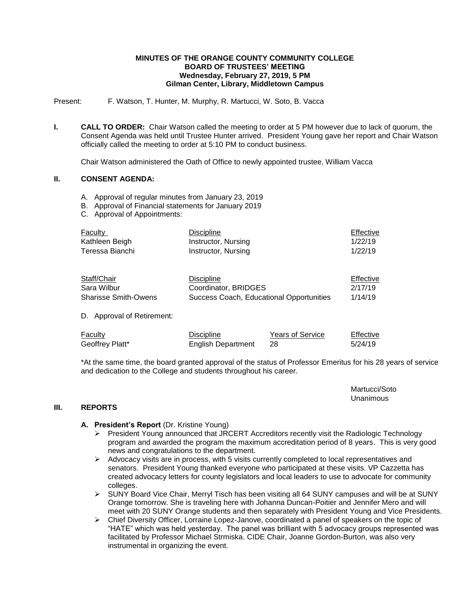#### **MINUTES OF THE ORANGE COUNTY COMMUNITY COLLEGE BOARD OF TRUSTEES' MEETING Wednesday, February 27, 2019, 5 PM Gilman Center, Library, Middletown Campus**

Present: F. Watson, T. Hunter, M. Murphy, R. Martucci, W. Soto, B. Vacca

**I. CALL TO ORDER:** Chair Watson called the meeting to order at 5 PM however due to lack of quorum, the Consent Agenda was held until Trustee Hunter arrived. President Young gave her report and Chair Watson officially called the meeting to order at 5:10 PM to conduct business.

Chair Watson administered the Oath of Office to newly appointed trustee, William Vacca

# **II. CONSENT AGENDA:**

- A. Approval of regular minutes from January 23, 2019
- B. Approval of Financial statements for January 2019
- C. Approval of Appointments:

| Faculty                       | <b>Discipline</b>                        |                         | Effective |
|-------------------------------|------------------------------------------|-------------------------|-----------|
| Kathleen Beigh                | Instructor, Nursing                      |                         | 1/22/19   |
| Teressa Bianchi               | Instructor, Nursing                      |                         | 1/22/19   |
| Staff/Chair                   | <b>Discipline</b>                        |                         | Effective |
| Sara Wilbur                   | Coordinator, BRIDGES                     |                         | 2/17/19   |
| <b>Sharisse Smith-Owens</b>   | Success Coach, Educational Opportunities |                         | 1/14/19   |
| Approval of Retirement:<br>D. |                                          |                         |           |
| Faculty                       | <b>Discipline</b>                        | <b>Years of Service</b> | Effective |
| Geoffrey Platt*               | <b>English Department</b>                | 28                      | 5/24/19   |

\*At the same time, the board granted approval of the status of Professor Emeritus for his 28 years of service and dedication to the College and students throughout his career.

> Martucci/Soto Unanimous

#### **III. REPORTS**

### **A. President's Report** (Dr. Kristine Young)

- President Young announced that JRCERT Accreditors recently visit the Radiologic Technology program and awarded the program the maximum accreditation period of 8 years. This is very good news and congratulations to the department.
- $\triangleright$  Advocacy visits are in process, with 5 visits currently completed to local representatives and senators. President Young thanked everyone who participated at these visits. VP Cazzetta has created advocacy letters for county legislators and local leaders to use to advocate for community colleges.
- $\triangleright$  SUNY Board Vice Chair, Merryl Tisch has been visiting all 64 SUNY campuses and will be at SUNY Orange tomorrow. She is traveling here with Johanna Duncan-Poitier and Jennifer Mero and will meet with 20 SUNY Orange students and then separately with President Young and Vice Presidents.
- $\triangleright$  Chief Diversity Officer, Lorraine Lopez-Janove, coordinated a panel of speakers on the topic of "HATE" which was held yesterday. The panel was brilliant with 5 advocacy groups represented was facilitated by Professor Michael Strmiska. CIDE Chair, Joanne Gordon-Burton, was also very instrumental in organizing the event.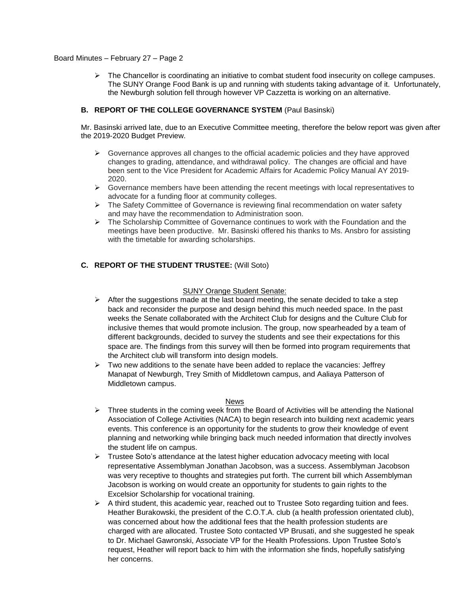## Board Minutes – February 27 – Page 2

 $\triangleright$  The Chancellor is coordinating an initiative to combat student food insecurity on college campuses. The SUNY Orange Food Bank is up and running with students taking advantage of it. Unfortunately, the Newburgh solution fell through however VP Cazzetta is working on an alternative.

# **B. REPORT OF THE COLLEGE GOVERNANCE SYSTEM** (Paul Basinski)

Mr. Basinski arrived late, due to an Executive Committee meeting, therefore the below report was given after the 2019-2020 Budget Preview.

- $\triangleright$  Governance approves all changes to the official academic policies and they have approved changes to grading, attendance, and withdrawal policy. The changes are official and have been sent to the Vice President for Academic Affairs for Academic Policy Manual AY 2019- 2020.
- $\triangleright$  Governance members have been attending the recent meetings with local representatives to advocate for a funding floor at community colleges.
- $\triangleright$  The Safety Committee of Governance is reviewing final recommendation on water safety and may have the recommendation to Administration soon.
- $\triangleright$  The Scholarship Committee of Governance continues to work with the Foundation and the meetings have been productive. Mr. Basinski offered his thanks to Ms. Ansbro for assisting with the timetable for awarding scholarships.

# **C. REPORT OF THE STUDENT TRUSTEE:** (Will Soto)

#### SUNY Orange Student Senate:

- $\triangleright$  After the suggestions made at the last board meeting, the senate decided to take a step back and reconsider the purpose and design behind this much needed space. In the past weeks the Senate collaborated with the Architect Club for designs and the Culture Club for inclusive themes that would promote inclusion. The group, now spearheaded by a team of different backgrounds, decided to survey the students and see their expectations for this space are. The findings from this survey will then be formed into program requirements that the Architect club will transform into design models.
- $\triangleright$  Two new additions to the senate have been added to replace the vacancies: Jeffrey Manapat of Newburgh, Trey Smith of Middletown campus, and Aaliaya Patterson of Middletown campus.

#### News

- $\triangleright$  Three students in the coming week from the Board of Activities will be attending the National Association of College Activities (NACA) to begin research into building next academic years events. This conference is an opportunity for the students to grow their knowledge of event planning and networking while bringing back much needed information that directly involves the student life on campus.
- $\triangleright$  Trustee Soto's attendance at the latest higher education advocacy meeting with local representative Assemblyman Jonathan Jacobson, was a success. Assemblyman Jacobson was very receptive to thoughts and strategies put forth. The current bill which Assemblyman Jacobson is working on would create an opportunity for students to gain rights to the Excelsior Scholarship for vocational training.
- $\triangleright$  A third student, this academic year, reached out to Trustee Soto regarding tuition and fees. Heather Burakowski, the president of the C.O.T.A. club (a health profession orientated club), was concerned about how the additional fees that the health profession students are charged with are allocated. Trustee Soto contacted VP Brusati, and she suggested he speak to Dr. Michael Gawronski, Associate VP for the Health Professions. Upon Trustee Soto's request, Heather will report back to him with the information she finds, hopefully satisfying her concerns.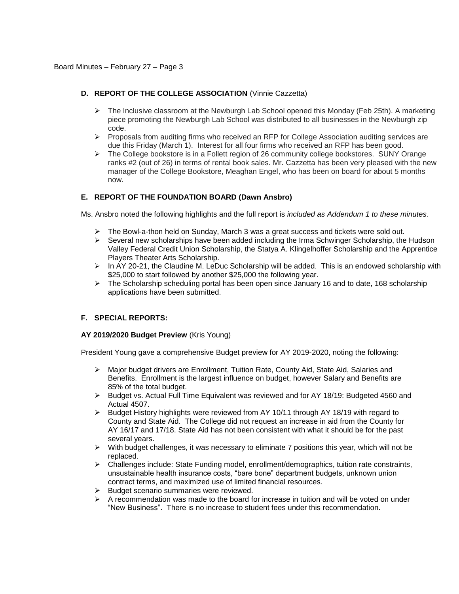# **D. REPORT OF THE COLLEGE ASSOCIATION** (Vinnie Cazzetta)

- $\triangleright$  The Inclusive classroom at the Newburgh Lab School opened this Monday (Feb 25th). A marketing piece promoting the Newburgh Lab School was distributed to all businesses in the Newburgh zip code.
- $\triangleright$  Proposals from auditing firms who received an RFP for College Association auditing services are due this Friday (March 1). Interest for all four firms who received an RFP has been good.
- $\triangleright$  The College bookstore is in a Follett region of 26 community college bookstores. SUNY Orange ranks #2 (out of 26) in terms of rental book sales. Mr. Cazzetta has been very pleased with the new manager of the College Bookstore, Meaghan Engel, who has been on board for about 5 months now.

# **E. REPORT OF THE FOUNDATION BOARD (Dawn Ansbro)**

Ms. Ansbro noted the following highlights and the full report is *included as Addendum 1 to these minutes*.

- $\triangleright$  The Bowl-a-thon held on Sunday, March 3 was a great success and tickets were sold out.
- $\triangleright$  Several new scholarships have been added including the Irma Schwinger Scholarship, the Hudson Valley Federal Credit Union Scholarship, the Statya A. Klingelhoffer Scholarship and the Apprentice Players Theater Arts Scholarship.
- $\triangleright$  In AY 20-21, the Claudine M. LeDuc Scholarship will be added. This is an endowed scholarship with \$25,000 to start followed by another \$25,000 the following year.
- $\triangleright$  The Scholarship scheduling portal has been open since January 16 and to date, 168 scholarship applications have been submitted.

# **F. SPECIAL REPORTS:**

#### **AY 2019/2020 Budget Preview** (Kris Young)

President Young gave a comprehensive Budget preview for AY 2019-2020, noting the following:

- Major budget drivers are Enrollment, Tuition Rate, County Aid, State Aid, Salaries and Benefits. Enrollment is the largest influence on budget, however Salary and Benefits are 85% of the total budget.
- $\triangleright$  Budget vs. Actual Full Time Equivalent was reviewed and for AY 18/19: Budgeted 4560 and Actual 4507.
- ▶ Budget History highlights were reviewed from AY 10/11 through AY 18/19 with regard to County and State Aid. The College did not request an increase in aid from the County for AY 16/17 and 17/18. State Aid has not been consistent with what it should be for the past several years.
- $\triangleright$  With budget challenges, it was necessary to eliminate 7 positions this year, which will not be replaced.
- Challenges include: State Funding model, enrollment/demographics, tuition rate constraints, unsustainable health insurance costs, "bare bone" department budgets, unknown union contract terms, and maximized use of limited financial resources.
- $\geq$  Budget scenario summaries were reviewed.<br>  $\geq$  A recommendation was made to the board fo
- A recommendation was made to the board for increase in tuition and will be voted on under "New Business". There is no increase to student fees under this recommendation.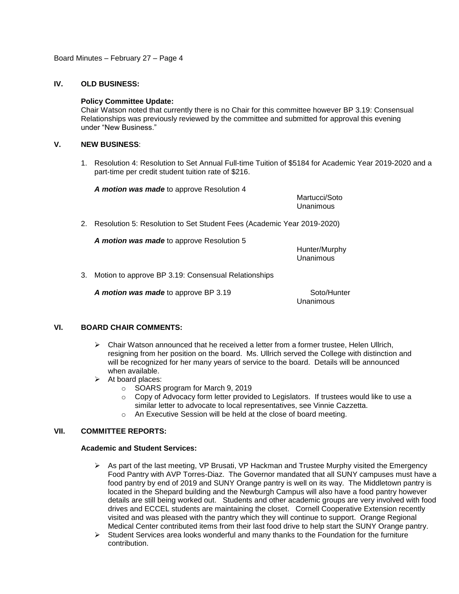Board Minutes – February 27 – Page 4

# **IV. OLD BUSINESS:**

## **Policy Committee Update:**

Chair Watson noted that currently there is no Chair for this committee however BP 3.19: Consensual Relationships was previously reviewed by the committee and submitted for approval this evening under "New Business."

## **V. NEW BUSINESS**:

1. Resolution 4: Resolution to Set Annual Full-time Tuition of \$5184 for Academic Year 2019-2020 and a part-time per credit student tuition rate of \$216.

*A motion was made* to approve Resolution 4

Martucci/Soto Unanimous

2. Resolution 5: Resolution to Set Student Fees (Academic Year 2019-2020)

*A motion was made* to approve Resolution 5

Hunter/Murphy Unanimous

3. Motion to approve BP 3.19: Consensual Relationships

A motion was made to approve BP 3.19 Soto/Hunter

Unanimous

# **VI. BOARD CHAIR COMMENTS:**

- $\triangleright$  Chair Watson announced that he received a letter from a former trustee, Helen Ullrich, resigning from her position on the board. Ms. Ullrich served the College with distinction and will be recognized for her many years of service to the board. Details will be announced when available.
- $\triangleright$  At board places:
	- o SOARS program for March 9, 2019
	- $\circ$  Copy of Advocacy form letter provided to Legislators. If trustees would like to use a similar letter to advocate to local representatives, see Vinnie Cazzetta.
	- o An Executive Session will be held at the close of board meeting.

# **VII. COMMITTEE REPORTS:**

#### **Academic and Student Services:**

- As part of the last meeting, VP Brusati, VP Hackman and Trustee Murphy visited the Emergency Food Pantry with AVP Torres-Diaz. The Governor mandated that all SUNY campuses must have a food pantry by end of 2019 and SUNY Orange pantry is well on its way. The Middletown pantry is located in the Shepard building and the Newburgh Campus will also have a food pantry however details are still being worked out. Students and other academic groups are very involved with food drives and ECCEL students are maintaining the closet. Cornell Cooperative Extension recently visited and was pleased with the pantry which they will continue to support. Orange Regional Medical Center contributed items from their last food drive to help start the SUNY Orange pantry.
- $\triangleright$  Student Services area looks wonderful and many thanks to the Foundation for the furniture contribution.